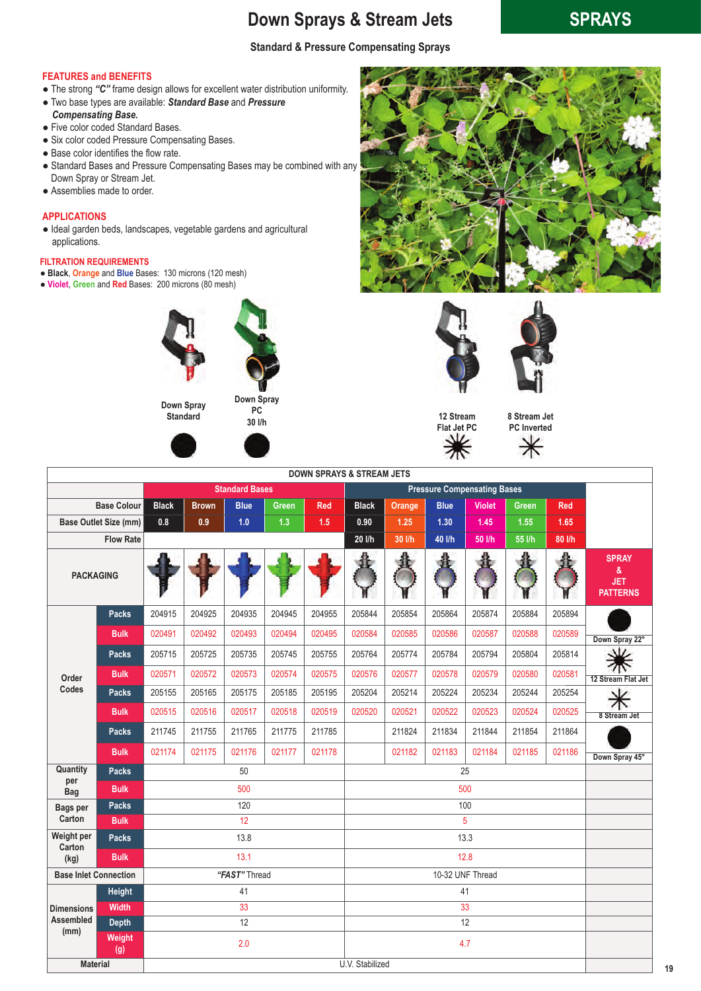## **Down Sprays & Stream Jets SPRAYS Sprays**

## **Standard & Pressure Compensating Sprays**

### **FEATURES and BENEFITS**

- The strong *"C"* frame design allows for excellent water distribution uniformity.
- Two base types are available: *Standard Base* and *Pressure Compensating Base.*
- Five color coded Standard Bases.
- Six color coded Pressure Compensating Bases.
- Base color identifies the flow rate.
- Standard Bases and Pressure Compensating Bases may be combined with any Down Spray or Stream Jet.
- Assemblies made to order.

### **APPLICATIONS**

● Ideal garden beds, landscapes, vegetable gardens and agricultural applications.

### **FILTRATION REQUIREMENTS**

- **Black**, **Orange** and **Blue** Bases: 130 microns (120 mesh)
- **Violet**, **Green** and **Red** Bases: 200 microns (80 mesh)





**Down Spray PC 30 l/h**









**8 Stream Jet PC Inverted**  $\ast$ 

| <b>DOWN SPRAYS &amp; STREAM JETS</b> |                    |                       |              |               |              |                                    |                 |        |             |                  |              |            |                                                    |
|--------------------------------------|--------------------|-----------------------|--------------|---------------|--------------|------------------------------------|-----------------|--------|-------------|------------------|--------------|------------|----------------------------------------------------|
|                                      |                    | <b>Standard Bases</b> |              |               |              | <b>Pressure Compensating Bases</b> |                 |        |             |                  |              |            |                                                    |
|                                      | <b>Base Colour</b> | <b>Black</b>          | <b>Brown</b> | <b>Blue</b>   | <b>Green</b> | <b>Red</b>                         | <b>Black</b>    | Orange | <b>Blue</b> | <b>Violet</b>    | <b>Green</b> | <b>Red</b> |                                                    |
| <b>Base Outlet Size (mm)</b>         |                    | 0.8                   | 0.9          | 1.0           | 1.3          | 1.5                                | 0.90            | 1.25   | $1.30$      | 1.45             | 1.55         | 1.65       |                                                    |
|                                      | <b>Flow Rate</b>   |                       |              |               |              |                                    | 20 l/h          | 30 l/h | 40 l/h      | 50 l/h           | 55 l/h       | 80 l/h     |                                                    |
| <b>PACKAGING</b>                     |                    |                       |              |               |              |                                    |                 |        |             |                  |              |            | <b>SPRAY</b><br>&<br><b>JET</b><br><b>PATTERNS</b> |
| Order<br>Codes                       | <b>Packs</b>       | 204915                | 204925       | 204935        | 204945       | 204955                             | 205844          | 205854 | 205864      | 205874           | 205884       | 205894     |                                                    |
|                                      | <b>Bulk</b>        | 020491                | 020492       | 020493        | 020494       | 020495                             | 020584          | 020585 | 020586      | 020587           | 020588       | 020589     | Down Spray 22°                                     |
|                                      | <b>Packs</b>       | 205715                | 205725       | 205735        | 205745       | 205755                             | 205764          | 205774 | 205784      | 205794           | 205804       | 205814     |                                                    |
|                                      | <b>Bulk</b>        | 020571                | 020572       | 020573        | 020574       | 020575                             | 020576          | 020577 | 020578      | 020579           | 020580       | 020581     | 12 Stream Flat Jet                                 |
|                                      | <b>Packs</b>       | 205155                | 205165       | 205175        | 205185       | 205195                             | 205204          | 205214 | 205224      | 205234           | 205244       | 205254     |                                                    |
|                                      | <b>Bulk</b>        | 020515                | 020516       | 020517        | 020518       | 020519                             | 020520          | 020521 | 020522      | 020523           | 020524       | 020525     | 8 Stream Jet                                       |
|                                      | <b>Packs</b>       | 211745                | 211755       | 211765        | 211775       | 211785                             |                 | 211824 | 211834      | 211844           | 211854       | 211864     |                                                    |
|                                      | <b>Bulk</b>        | 021174                | 021175       | 021176        | 021177       | 021178                             |                 | 021182 | 021183      | 021184           | 021185       | 021186     | Down Spray 45°                                     |
| Quantity                             | <b>Packs</b>       | 50                    |              |               |              |                                    | 25              |        |             |                  |              |            |                                                    |
| per<br><b>Bag</b>                    | <b>Bulk</b>        | 500                   |              |               |              |                                    | 500             |        |             |                  |              |            |                                                    |
| <b>Bags per</b><br>Carton            | <b>Packs</b>       | 120                   |              |               |              |                                    | 100             |        |             |                  |              |            |                                                    |
|                                      | <b>Bulk</b>        | 12                    |              |               |              |                                    | 5               |        |             |                  |              |            |                                                    |
| Weight per<br>Carton                 | Packs              |                       |              | 13.8          |              |                                    |                 |        |             | 13.3             |              |            |                                                    |
| (kg)                                 | <b>Bulk</b>        |                       |              | 13.1          |              |                                    |                 |        |             | 12.8             |              |            |                                                    |
| <b>Base Inlet Connection</b>         |                    |                       |              | "FAST" Thread |              |                                    |                 |        |             | 10-32 UNF Thread |              |            |                                                    |
|                                      | <b>Height</b>      |                       |              | 41            |              |                                    |                 |        |             | 41               |              |            |                                                    |
| <b>Dimensions</b>                    | <b>Width</b>       | 33                    |              |               |              |                                    | 33              |        |             |                  |              |            |                                                    |
| <b>Assembled</b><br>(mm)             | <b>Depth</b>       |                       | 12           |               |              | 12                                 |                 |        |             |                  |              |            |                                                    |
|                                      | Weight<br>(g)      |                       |              | 2.0           |              |                                    |                 |        |             | 4.7              |              |            |                                                    |
| <b>Material</b>                      |                    |                       |              |               |              |                                    | U.V. Stabilized |        |             |                  |              |            |                                                    |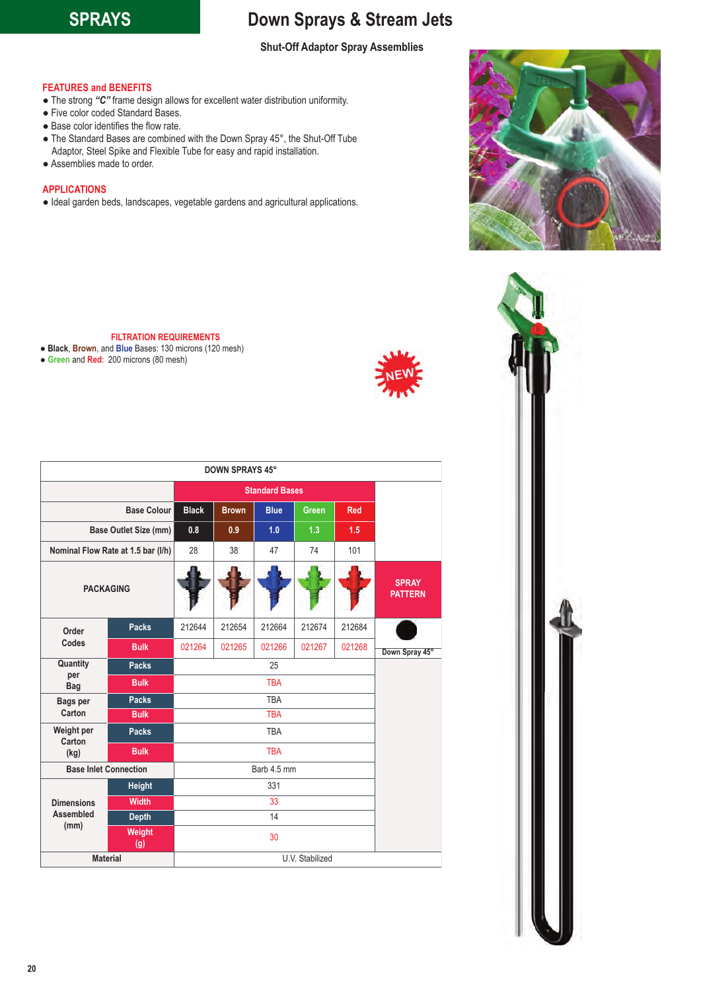## **SPRAYS Down Sprays & Stream Jets**

### **Shut-Off Adaptor Spray Assemblies**

### **FEATURES and BENEFITS**

- The strong *"C"* frame design allows for excellent water distribution uniformity.
- Five color coded Standard Bases.
- Base color identifies the flow rate.
- The Standard Bases are combined with the Down Spray 45°, the Shut-Off Tube Adaptor, Steel Spike and Flexible Tube for easy and rapid installation.
- Assemblies made to order.

### **APPLICATIONS**

● Ideal garden beds, landscapes, vegetable gardens and agricultural applications.

**FILTRATION REQUIREMENTS**

- **Black**, **Brown**, and **Blue** Bases: 130 microns (120 mesh)
- **Green** and **Red**: 200 microns (80 mesh)